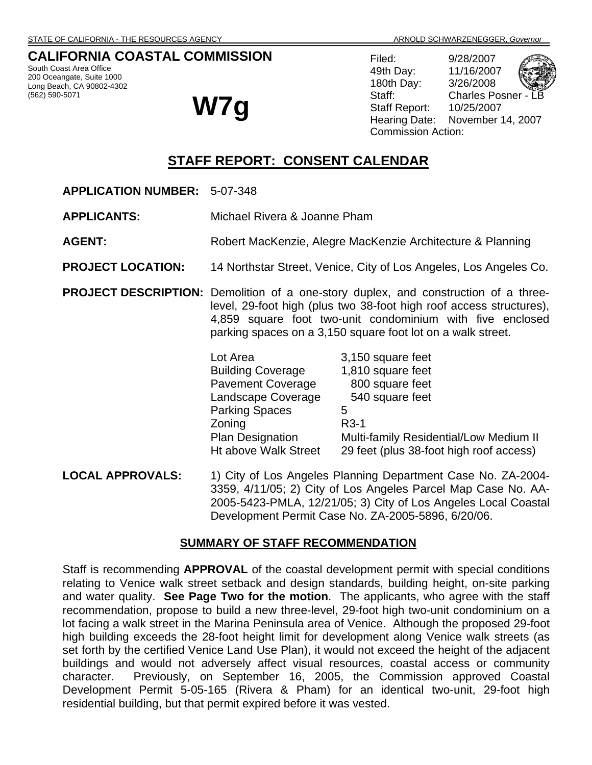# **CALIFORNIA COASTAL COMMISSION**

South Coast Area Office 200 Oceangate, Suite 1000 Long Beach, CA 90802-4302 (562) 590-5071

**W7g** 

Filed: 9/28/2007 49th Day: 11/16/2007 180th Day: 3/26/2008 Staff: Charles Posner -Staff Report: 10/25/2007 Hearing Date: November 14, 2007 Commission Action:

# **STAFF REPORT: CONSENT CALENDAR**

**APPLICATION NUMBER:** 5-07-348

**APPLICANTS:** Michael Rivera & Joanne Pham

- **AGENT:** Robert MacKenzie, Alegre MacKenzie Architecture & Planning
- **PROJECT LOCATION:** 14 Northstar Street, Venice, City of Los Angeles, Los Angeles Co.
- **PROJECT DESCRIPTION:** Demolition of a one-story duplex, and construction of a threelevel, 29-foot high (plus two 38-foot high roof access structures), 4,859 square foot two-unit condominium with five enclosed parking spaces on a 3,150 square foot lot on a walk street.

| Lot Area                 | 3,150 square feet                       |
|--------------------------|-----------------------------------------|
| <b>Building Coverage</b> | 1,810 square feet                       |
| <b>Pavement Coverage</b> | 800 square feet                         |
| Landscape Coverage       | 540 square feet                         |
| <b>Parking Spaces</b>    | 5                                       |
| Zoning                   | $R3-1$                                  |
| <b>Plan Designation</b>  | Multi-family Residential/Low Medium II  |
| Ht above Walk Street     | 29 feet (plus 38-foot high roof access) |

**LOCAL APPROVALS:** 1) City of Los Angeles Planning Department Case No. ZA-2004- 3359, 4/11/05; 2) City of Los Angeles Parcel Map Case No. AA-2005-5423-PMLA, 12/21/05; 3) City of Los Angeles Local Coastal Development Permit Case No. ZA-2005-5896, 6/20/06.

#### **SUMMARY OF STAFF RECOMMENDATION**

Staff is recommending **APPROVAL** of the coastal development permit with special conditions relating to Venice walk street setback and design standards, building height, on-site parking and water quality. **See Page Two for the motion**. The applicants, who agree with the staff recommendation, propose to build a new three-level, 29-foot high two-unit condominium on a lot facing a walk street in the Marina Peninsula area of Venice. Although the proposed 29-foot high building exceeds the 28-foot height limit for development along Venice walk streets (as set forth by the certified Venice Land Use Plan), it would not exceed the height of the adjacent buildings and would not adversely affect visual resources, coastal access or community character. Previously, on September 16, 2005, the Commission approved Coastal Development Permit 5-05-165 (Rivera & Pham) for an identical two-unit, 29-foot high residential building, but that permit expired before it was vested.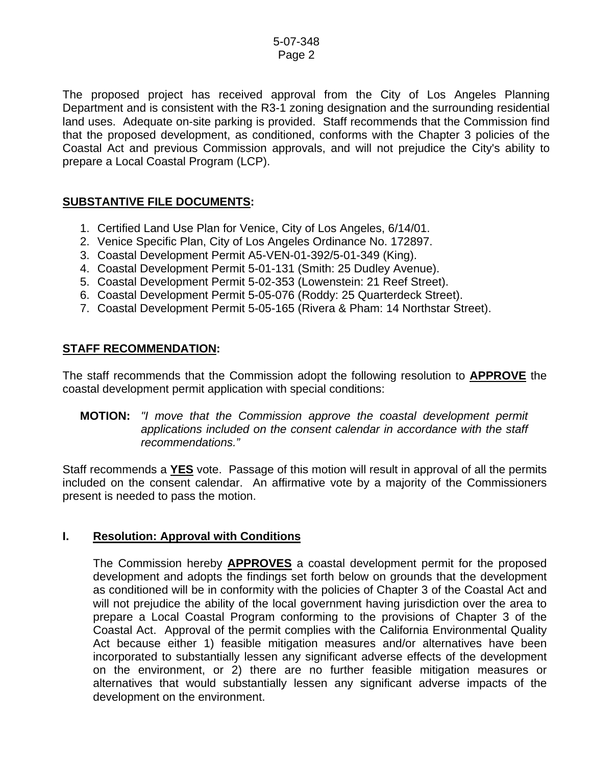The proposed project has received approval from the City of Los Angeles Planning Department and is consistent with the R3-1 zoning designation and the surrounding residential land uses. Adequate on-site parking is provided. Staff recommends that the Commission find that the proposed development, as conditioned, conforms with the Chapter 3 policies of the Coastal Act and previous Commission approvals, and will not prejudice the City's ability to prepare a Local Coastal Program (LCP).

### **SUBSTANTIVE FILE DOCUMENTS:**

- 1. Certified Land Use Plan for Venice, City of Los Angeles, 6/14/01.
- 2. Venice Specific Plan, City of Los Angeles Ordinance No. 172897.
- 3. Coastal Development Permit A5-VEN-01-392/5-01-349 (King).
- 4. Coastal Development Permit 5-01-131 (Smith: 25 Dudley Avenue).
- 5. Coastal Development Permit 5-02-353 (Lowenstein: 21 Reef Street).
- 6. Coastal Development Permit 5-05-076 (Roddy: 25 Quarterdeck Street).
- 7. Coastal Development Permit 5-05-165 (Rivera & Pham: 14 Northstar Street).

### **STAFF RECOMMENDATION:**

The staff recommends that the Commission adopt the following resolution to **APPROVE** the coastal development permit application with special conditions:

#### **MOTION:** *"I move that the Commission approve the coastal development permit applications included on the consent calendar in accordance with the staff recommendations."*

Staff recommends a **YES** vote. Passage of this motion will result in approval of all the permits included on the consent calendar. An affirmative vote by a majority of the Commissioners present is needed to pass the motion.

### **I. Resolution: Approval with Conditions**

 The Commission hereby **APPROVES** a coastal development permit for the proposed development and adopts the findings set forth below on grounds that the development as conditioned will be in conformity with the policies of Chapter 3 of the Coastal Act and will not prejudice the ability of the local government having jurisdiction over the area to prepare a Local Coastal Program conforming to the provisions of Chapter 3 of the Coastal Act. Approval of the permit complies with the California Environmental Quality Act because either 1) feasible mitigation measures and/or alternatives have been incorporated to substantially lessen any significant adverse effects of the development on the environment, or 2) there are no further feasible mitigation measures or alternatives that would substantially lessen any significant adverse impacts of the development on the environment.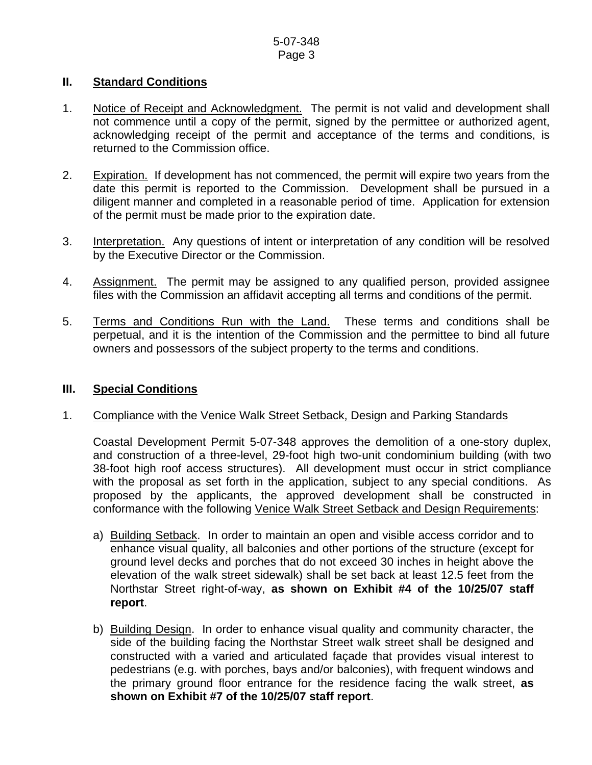### **II. Standard Conditions**

- 1. Notice of Receipt and Acknowledgment. The permit is not valid and development shall not commence until a copy of the permit, signed by the permittee or authorized agent, acknowledging receipt of the permit and acceptance of the terms and conditions, is returned to the Commission office.
- 2. Expiration. If development has not commenced, the permit will expire two years from the date this permit is reported to the Commission. Development shall be pursued in a diligent manner and completed in a reasonable period of time. Application for extension of the permit must be made prior to the expiration date.
- 3. Interpretation. Any questions of intent or interpretation of any condition will be resolved by the Executive Director or the Commission.
- 4. Assignment. The permit may be assigned to any qualified person, provided assignee files with the Commission an affidavit accepting all terms and conditions of the permit.
- 5. Terms and Conditions Run with the Land. These terms and conditions shall be perpetual, and it is the intention of the Commission and the permittee to bind all future owners and possessors of the subject property to the terms and conditions.

#### **III. Special Conditions**

#### 1. Compliance with the Venice Walk Street Setback, Design and Parking Standards

 Coastal Development Permit 5-07-348 approves the demolition of a one-story duplex, and construction of a three-level, 29-foot high two-unit condominium building (with two 38-foot high roof access structures). All development must occur in strict compliance with the proposal as set forth in the application, subject to any special conditions. As proposed by the applicants, the approved development shall be constructed in conformance with the following Venice Walk Street Setback and Design Requirements:

- a) Building Setback. In order to maintain an open and visible access corridor and to enhance visual quality, all balconies and other portions of the structure (except for ground level decks and porches that do not exceed 30 inches in height above the elevation of the walk street sidewalk) shall be set back at least 12.5 feet from the Northstar Street right-of-way, **as shown on Exhibit #4 of the 10/25/07 staff report**.
- b) Building Design. In order to enhance visual quality and community character, the side of the building facing the Northstar Street walk street shall be designed and constructed with a varied and articulated façade that provides visual interest to pedestrians (e.g. with porches, bays and/or balconies), with frequent windows and the primary ground floor entrance for the residence facing the walk street, **as shown on Exhibit #7 of the 10/25/07 staff report**.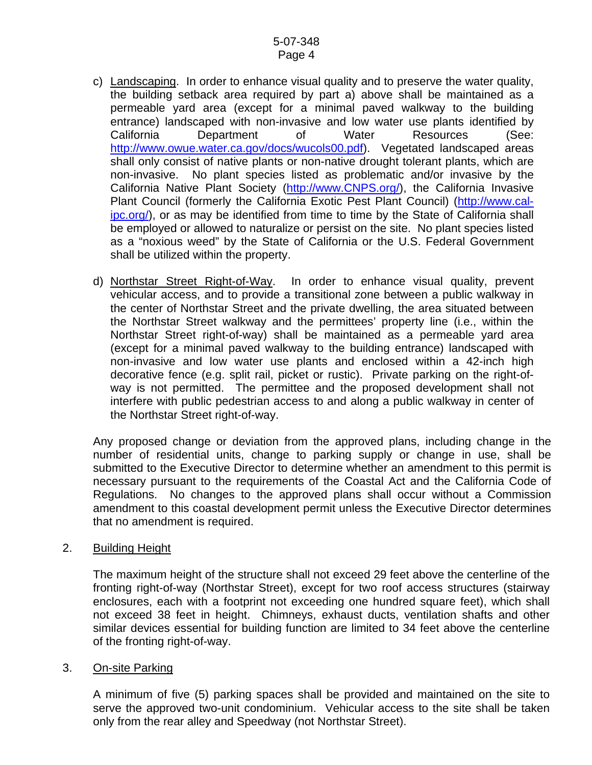- c) Landscaping. In order to enhance visual quality and to preserve the water quality, the building setback area required by part a) above shall be maintained as a permeable yard area (except for a minimal paved walkway to the building entrance) landscaped with non-invasive and low water use plants identified by California Department of Water Resources (See: [http://www.owue.water.ca.gov/docs/wucols00.pdf\)](http://www.owue.water.ca.gov/docs/wucols00.pdf). Vegetated landscaped areas shall only consist of native plants or non-native drought tolerant plants, which are non-invasive. No plant species listed as problematic and/or invasive by the California Native Plant Society ([http://www.CNPS.org/](http://www.cnps.org/)), the California Invasive Plant Council (formerly the California Exotic Pest Plant Council) ([http://www.cal](http://www.cal-ipc.org/)[ipc.org/\)](http://www.cal-ipc.org/), or as may be identified from time to time by the State of California shall be employed or allowed to naturalize or persist on the site. No plant species listed as a "noxious weed" by the State of California or the U.S. Federal Government shall be utilized within the property.
- d) Northstar Street Right-of-Way. In order to enhance visual quality, prevent vehicular access, and to provide a transitional zone between a public walkway in the center of Northstar Street and the private dwelling, the area situated between the Northstar Street walkway and the permittees' property line (i.e., within the Northstar Street right-of-way) shall be maintained as a permeable yard area (except for a minimal paved walkway to the building entrance) landscaped with non-invasive and low water use plants and enclosed within a 42-inch high decorative fence (e.g. split rail, picket or rustic). Private parking on the right-ofway is not permitted. The permittee and the proposed development shall not interfere with public pedestrian access to and along a public walkway in center of the Northstar Street right-of-way.

Any proposed change or deviation from the approved plans, including change in the number of residential units, change to parking supply or change in use, shall be submitted to the Executive Director to determine whether an amendment to this permit is necessary pursuant to the requirements of the Coastal Act and the California Code of Regulations. No changes to the approved plans shall occur without a Commission amendment to this coastal development permit unless the Executive Director determines that no amendment is required.

#### 2. Building Height

The maximum height of the structure shall not exceed 29 feet above the centerline of the fronting right-of-way (Northstar Street), except for two roof access structures (stairway enclosures, each with a footprint not exceeding one hundred square feet), which shall not exceed 38 feet in height. Chimneys, exhaust ducts, ventilation shafts and other similar devices essential for building function are limited to 34 feet above the centerline of the fronting right-of-way.

#### 3. On-site Parking

A minimum of five (5) parking spaces shall be provided and maintained on the site to serve the approved two-unit condominium. Vehicular access to the site shall be taken only from the rear alley and Speedway (not Northstar Street).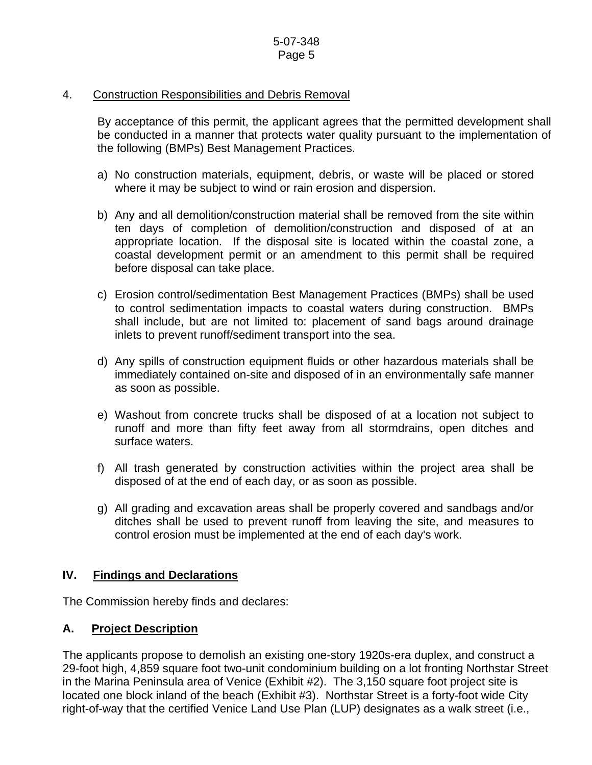### 4. Construction Responsibilities and Debris Removal

By acceptance of this permit, the applicant agrees that the permitted development shall be conducted in a manner that protects water quality pursuant to the implementation of the following (BMPs) Best Management Practices.

- a) No construction materials, equipment, debris, or waste will be placed or stored where it may be subject to wind or rain erosion and dispersion.
- b) Any and all demolition/construction material shall be removed from the site within ten days of completion of demolition/construction and disposed of at an appropriate location. If the disposal site is located within the coastal zone, a coastal development permit or an amendment to this permit shall be required before disposal can take place.
- c) Erosion control/sedimentation Best Management Practices (BMPs) shall be used to control sedimentation impacts to coastal waters during construction. BMPs shall include, but are not limited to: placement of sand bags around drainage inlets to prevent runoff/sediment transport into the sea.
- d) Any spills of construction equipment fluids or other hazardous materials shall be immediately contained on-site and disposed of in an environmentally safe manner as soon as possible.
- e) Washout from concrete trucks shall be disposed of at a location not subject to runoff and more than fifty feet away from all stormdrains, open ditches and surface waters.
- f) All trash generated by construction activities within the project area shall be disposed of at the end of each day, or as soon as possible.
- g) All grading and excavation areas shall be properly covered and sandbags and/or ditches shall be used to prevent runoff from leaving the site, and measures to control erosion must be implemented at the end of each day's work.

### **IV. Findings and Declarations**

The Commission hereby finds and declares:

### **A. Project Description**

The applicants propose to demolish an existing one-story 1920s-era duplex, and construct a 29-foot high, 4,859 square foot two-unit condominium building on a lot fronting Northstar Street in the Marina Peninsula area of Venice (Exhibit #2). The 3,150 square foot project site is located one block inland of the beach (Exhibit #3). Northstar Street is a forty-foot wide City right-of-way that the certified Venice Land Use Plan (LUP) designates as a walk street (i.e.,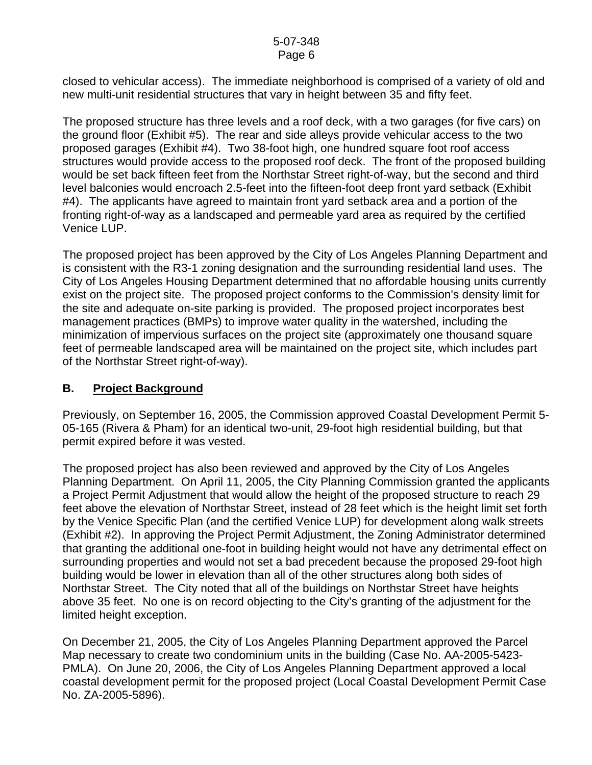closed to vehicular access). The immediate neighborhood is comprised of a variety of old and new multi-unit residential structures that vary in height between 35 and fifty feet.

The proposed structure has three levels and a roof deck, with a two garages (for five cars) on the ground floor (Exhibit #5). The rear and side alleys provide vehicular access to the two proposed garages (Exhibit #4). Two 38-foot high, one hundred square foot roof access structures would provide access to the proposed roof deck. The front of the proposed building would be set back fifteen feet from the Northstar Street right-of-way, but the second and third level balconies would encroach 2.5-feet into the fifteen-foot deep front yard setback (Exhibit #4). The applicants have agreed to maintain front yard setback area and a portion of the fronting right-of-way as a landscaped and permeable yard area as required by the certified Venice LUP.

The proposed project has been approved by the City of Los Angeles Planning Department and is consistent with the R3-1 zoning designation and the surrounding residential land uses. The City of Los Angeles Housing Department determined that no affordable housing units currently exist on the project site. The proposed project conforms to the Commission's density limit for the site and adequate on-site parking is provided. The proposed project incorporates best management practices (BMPs) to improve water quality in the watershed, including the minimization of impervious surfaces on the project site (approximately one thousand square feet of permeable landscaped area will be maintained on the project site, which includes part of the Northstar Street right-of-way).

### **B. Project Background**

Previously, on September 16, 2005, the Commission approved Coastal Development Permit 5- 05-165 (Rivera & Pham) for an identical two-unit, 29-foot high residential building, but that permit expired before it was vested.

The proposed project has also been reviewed and approved by the City of Los Angeles Planning Department. On April 11, 2005, the City Planning Commission granted the applicants a Project Permit Adjustment that would allow the height of the proposed structure to reach 29 feet above the elevation of Northstar Street, instead of 28 feet which is the height limit set forth by the Venice Specific Plan (and the certified Venice LUP) for development along walk streets (Exhibit #2). In approving the Project Permit Adjustment, the Zoning Administrator determined that granting the additional one-foot in building height would not have any detrimental effect on surrounding properties and would not set a bad precedent because the proposed 29-foot high building would be lower in elevation than all of the other structures along both sides of Northstar Street. The City noted that all of the buildings on Northstar Street have heights above 35 feet. No one is on record objecting to the City's granting of the adjustment for the limited height exception.

On December 21, 2005, the City of Los Angeles Planning Department approved the Parcel Map necessary to create two condominium units in the building (Case No. AA-2005-5423- PMLA). On June 20, 2006, the City of Los Angeles Planning Department approved a local coastal development permit for the proposed project (Local Coastal Development Permit Case No. ZA-2005-5896).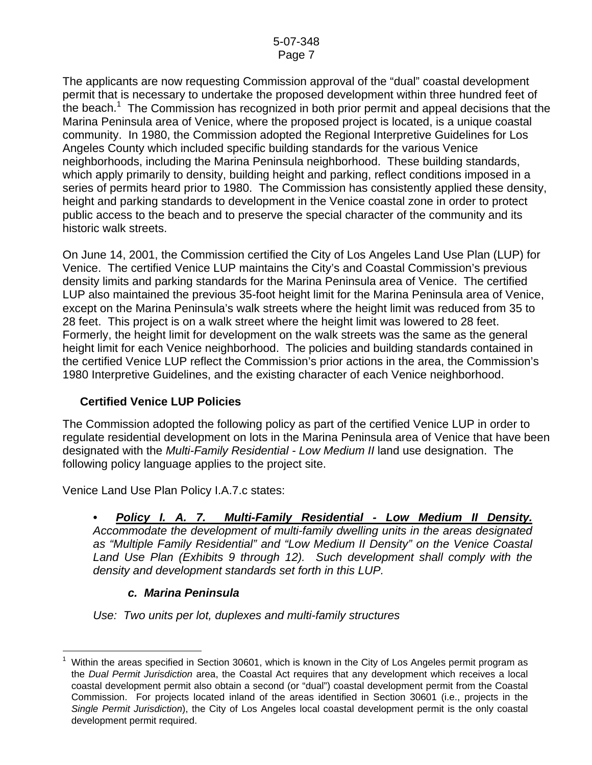The applicants are now requesting Commission approval of the "dual" coastal development permit that is necessary to undertake the proposed development within three hundred feet of the beach.<sup>[1](#page-6-0)</sup> The Commission has recognized in both prior permit and appeal decisions that the Marina Peninsula area of Venice, where the proposed project is located, is a unique coastal community. In 1980, the Commission adopted the Regional Interpretive Guidelines for Los Angeles County which included specific building standards for the various Venice neighborhoods, including the Marina Peninsula neighborhood. These building standards, which apply primarily to density, building height and parking, reflect conditions imposed in a series of permits heard prior to 1980. The Commission has consistently applied these density, height and parking standards to development in the Venice coastal zone in order to protect public access to the beach and to preserve the special character of the community and its historic walk streets.

On June 14, 2001, the Commission certified the City of Los Angeles Land Use Plan (LUP) for Venice. The certified Venice LUP maintains the City's and Coastal Commission's previous density limits and parking standards for the Marina Peninsula area of Venice. The certified LUP also maintained the previous 35-foot height limit for the Marina Peninsula area of Venice, except on the Marina Peninsula's walk streets where the height limit was reduced from 35 to 28 feet. This project is on a walk street where the height limit was lowered to 28 feet. Formerly, the height limit for development on the walk streets was the same as the general height limit for each Venice neighborhood. The policies and building standards contained in the certified Venice LUP reflect the Commission's prior actions in the area, the Commission's 1980 Interpretive Guidelines, and the existing character of each Venice neighborhood.

### **Certified Venice LUP Policies**

The Commission adopted the following policy as part of the certified Venice LUP in order to regulate residential development on lots in the Marina Peninsula area of Venice that have been designated with the *Multi-Family Residential - Low Medium II* land use designation. The following policy language applies to the project site.

Venice Land Use Plan Policy I.A.7.c states:

*• Policy I. A. 7. Multi-Family Residential - Low Medium II Density. Accommodate the development of multi-family dwelling units in the areas designated as "Multiple Family Residential" and "Low Medium II Density" on the Venice Coastal*  Land Use Plan (Exhibits 9 through 12). Such development shall comply with the *density and development standards set forth in this LUP.* 

### *c. Marina Peninsula*

*Use: Two units per lot, duplexes and multi-family structures* 

<span id="page-6-0"></span> $\overline{a}$ 1 Within the areas specified in Section 30601, which is known in the City of Los Angeles permit program as the *Dual Permit Jurisdiction* area, the Coastal Act requires that any development which receives a local coastal development permit also obtain a second (or "dual") coastal development permit from the Coastal Commission. For projects located inland of the areas identified in Section 30601 (i.e., projects in the *Single Permit Jurisdiction*), the City of Los Angeles local coastal development permit is the only coastal development permit required.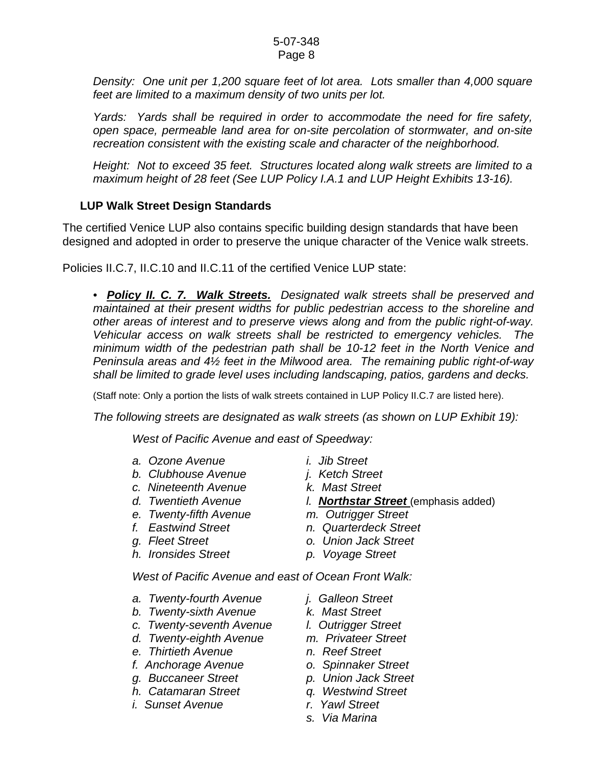*Density: One unit per 1,200 square feet of lot area. Lots smaller than 4,000 square feet are limited to a maximum density of two units per lot.* 

*Yards: Yards shall be required in order to accommodate the need for fire safety, open space, permeable land area for on-site percolation of stormwater, and on-site recreation consistent with the existing scale and character of the neighborhood.* 

*Height: Not to exceed 35 feet. Structures located along walk streets are limited to a maximum height of 28 feet (See LUP Policy I.A.1 and LUP Height Exhibits 13-16).* 

# **LUP Walk Street Design Standards**

The certified Venice LUP also contains specific building design standards that have been designed and adopted in order to preserve the unique character of the Venice walk streets.

Policies II.C.7, II.C.10 and II.C.11 of the certified Venice LUP state:

*• Policy II. C. 7. Walk Streets. Designated walk streets shall be preserved and maintained at their present widths for public pedestrian access to the shoreline and other areas of interest and to preserve views along and from the public right-of-way. Vehicular access on walk streets shall be restricted to emergency vehicles. The minimum width of the pedestrian path shall be 10-12 feet in the North Venice and Peninsula areas and 4½ feet in the Milwood area. The remaining public right-of-way shall be limited to grade level uses including landscaping, patios, gardens and decks.* 

(Staff note: Only a portion the lists of walk streets contained in LUP Policy II.C.7 are listed here).

*The following streets are designated as walk streets (as shown on LUP Exhibit 19):* 

*West of Pacific Avenue and east of Speedway:* 

- 
- *a. Ozone Avenue i. Jib Street*
- *b. Clubhouse Avenue j. Ketch Street c. Nineteenth Avenue k. Mast Street*
- 
- *e. Twenty-fifth Avenue m. Outrigger Street*
- 
- 
- *h. Ironsides Street p. Voyage Street*
- 
- 
- 
- d. Twentieth Avenue **l. Northstar Street** (emphasis added)
	-
- *f. Eastwind Street n. Quarterdeck Street*
- *g. Fleet Street o. Union Jack Street* 
	-

*West of Pacific Avenue and east of Ocean Front Walk:* 

- *a. Twenty-fourth Avenue j. Galleon Street*
- *b. Twenty-sixth Avenue k. Mast Street*
- *c. Twenty-seventh Avenue l. Outrigger Street*
- *d. Twenty-eighth Avenue m. Privateer Street*
- *e. Thirtieth Avenue n. Reef Street*
- *f. Anchorage Avenue o. Spinnaker Street*
- *g. Buccaneer Street p. Union Jack Street*
- *h. Catamaran Street q. Westwind Street*
- *i. Sunset Avenue r. Yawl Street*
- 
- 
- 
- 
- 
- 
- 
- 
- 
- *s. Via Marina*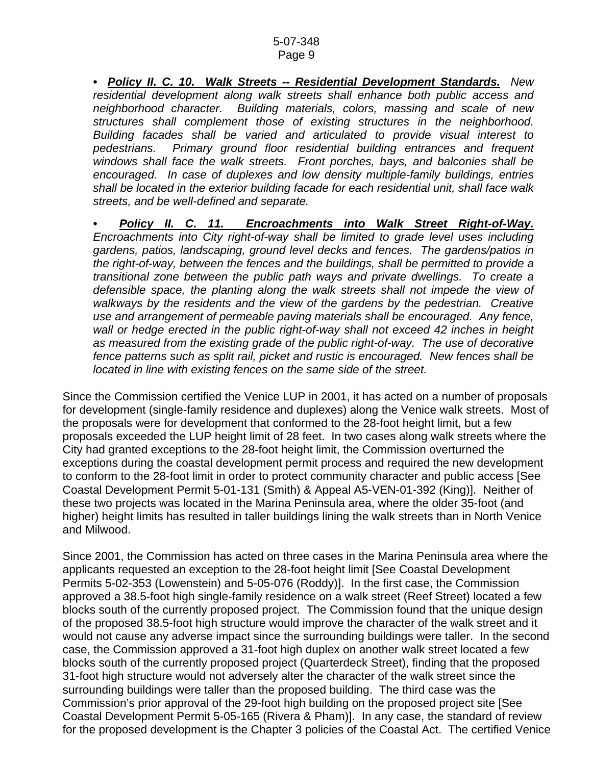*• Policy II. C. 10. Walk Streets -- Residential Development Standards. New residential development along walk streets shall enhance both public access and neighborhood character. Building materials, colors, massing and scale of new structures shall complement those of existing structures in the neighborhood. Building facades shall be varied and articulated to provide visual interest to pedestrians. Primary ground floor residential building entrances and frequent windows shall face the walk streets. Front porches, bays, and balconies shall be encouraged. In case of duplexes and low density multiple-family buildings, entries shall be located in the exterior building facade for each residential unit, shall face walk streets, and be well-defined and separate.* 

*• Policy II. C. 11. Encroachments into Walk Street Right-of-Way. Encroachments into City right-of-way shall be limited to grade level uses including gardens, patios, landscaping, ground level decks and fences. The gardens/patios in the right-of-way, between the fences and the buildings, shall be permitted to provide a transitional zone between the public path ways and private dwellings. To create a defensible space, the planting along the walk streets shall not impede the view of walkways by the residents and the view of the gardens by the pedestrian. Creative use and arrangement of permeable paving materials shall be encouraged. Any fence, wall or hedge erected in the public right-of-way shall not exceed 42 inches in height as measured from the existing grade of the public right-of-way. The use of decorative fence patterns such as split rail, picket and rustic is encouraged. New fences shall be located in line with existing fences on the same side of the street.* 

Since the Commission certified the Venice LUP in 2001, it has acted on a number of proposals for development (single-family residence and duplexes) along the Venice walk streets. Most of the proposals were for development that conformed to the 28-foot height limit, but a few proposals exceeded the LUP height limit of 28 feet. In two cases along walk streets where the City had granted exceptions to the 28-foot height limit, the Commission overturned the exceptions during the coastal development permit process and required the new development to conform to the 28-foot limit in order to protect community character and public access [See Coastal Development Permit 5-01-131 (Smith) & Appeal A5-VEN-01-392 (King)]. Neither of these two projects was located in the Marina Peninsula area, where the older 35-foot (and higher) height limits has resulted in taller buildings lining the walk streets than in North Venice and Milwood.

Since 2001, the Commission has acted on three cases in the Marina Peninsula area where the applicants requested an exception to the 28-foot height limit [See Coastal Development Permits 5-02-353 (Lowenstein) and 5-05-076 (Roddy)]. In the first case, the Commission approved a 38.5-foot high single-family residence on a walk street (Reef Street) located a few blocks south of the currently proposed project. The Commission found that the unique design of the proposed 38.5-foot high structure would improve the character of the walk street and it would not cause any adverse impact since the surrounding buildings were taller. In the second case, the Commission approved a 31-foot high duplex on another walk street located a few blocks south of the currently proposed project (Quarterdeck Street), finding that the proposed 31-foot high structure would not adversely alter the character of the walk street since the surrounding buildings were taller than the proposed building. The third case was the Commission's prior approval of the 29-foot high building on the proposed project site [See Coastal Development Permit 5-05-165 (Rivera & Pham)]. In any case, the standard of review for the proposed development is the Chapter 3 policies of the Coastal Act. The certified Venice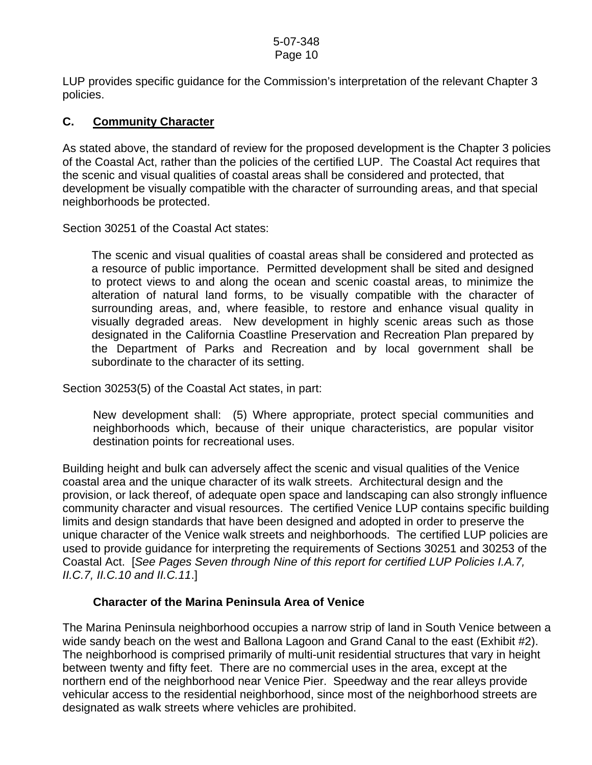LUP provides specific guidance for the Commission's interpretation of the relevant Chapter 3 policies.

### **C. Community Character**

As stated above, the standard of review for the proposed development is the Chapter 3 policies of the Coastal Act, rather than the policies of the certified LUP. The Coastal Act requires that the scenic and visual qualities of coastal areas shall be considered and protected, that development be visually compatible with the character of surrounding areas, and that special neighborhoods be protected.

Section 30251 of the Coastal Act states:

 The scenic and visual qualities of coastal areas shall be considered and protected as a resource of public importance. Permitted development shall be sited and designed to protect views to and along the ocean and scenic coastal areas, to minimize the alteration of natural land forms, to be visually compatible with the character of surrounding areas, and, where feasible, to restore and enhance visual quality in visually degraded areas. New development in highly scenic areas such as those designated in the California Coastline Preservation and Recreation Plan prepared by the Department of Parks and Recreation and by local government shall be subordinate to the character of its setting.

Section 30253(5) of the Coastal Act states, in part:

 New development shall: (5) Where appropriate, protect special communities and neighborhoods which, because of their unique characteristics, are popular visitor destination points for recreational uses.

Building height and bulk can adversely affect the scenic and visual qualities of the Venice coastal area and the unique character of its walk streets. Architectural design and the provision, or lack thereof, of adequate open space and landscaping can also strongly influence community character and visual resources. The certified Venice LUP contains specific building limits and design standards that have been designed and adopted in order to preserve the unique character of the Venice walk streets and neighborhoods. The certified LUP policies are used to provide guidance for interpreting the requirements of Sections 30251 and 30253 of the Coastal Act. [*See Pages Seven through Nine of this report for certified LUP Policies I.A.7, II.C.7, II.C.10 and II.C.11*.]

### **Character of the Marina Peninsula Area of Venice**

The Marina Peninsula neighborhood occupies a narrow strip of land in South Venice between a wide sandy beach on the west and Ballona Lagoon and Grand Canal to the east (Exhibit #2). The neighborhood is comprised primarily of multi-unit residential structures that vary in height between twenty and fifty feet. There are no commercial uses in the area, except at the northern end of the neighborhood near Venice Pier. Speedway and the rear alleys provide vehicular access to the residential neighborhood, since most of the neighborhood streets are designated as walk streets where vehicles are prohibited.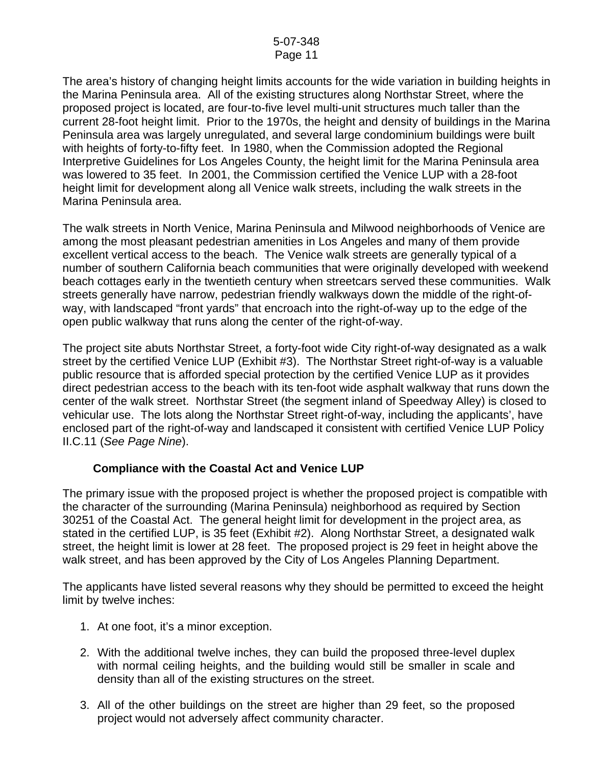The area's history of changing height limits accounts for the wide variation in building heights in the Marina Peninsula area. All of the existing structures along Northstar Street, where the proposed project is located, are four-to-five level multi-unit structures much taller than the current 28-foot height limit. Prior to the 1970s, the height and density of buildings in the Marina Peninsula area was largely unregulated, and several large condominium buildings were built with heights of forty-to-fifty feet. In 1980, when the Commission adopted the Regional Interpretive Guidelines for Los Angeles County, the height limit for the Marina Peninsula area was lowered to 35 feet. In 2001, the Commission certified the Venice LUP with a 28-foot height limit for development along all Venice walk streets, including the walk streets in the Marina Peninsula area.

The walk streets in North Venice, Marina Peninsula and Milwood neighborhoods of Venice are among the most pleasant pedestrian amenities in Los Angeles and many of them provide excellent vertical access to the beach. The Venice walk streets are generally typical of a number of southern California beach communities that were originally developed with weekend beach cottages early in the twentieth century when streetcars served these communities. Walk streets generally have narrow, pedestrian friendly walkways down the middle of the right-ofway, with landscaped "front yards" that encroach into the right-of-way up to the edge of the open public walkway that runs along the center of the right-of-way.

The project site abuts Northstar Street, a forty-foot wide City right-of-way designated as a walk street by the certified Venice LUP (Exhibit #3). The Northstar Street right-of-way is a valuable public resource that is afforded special protection by the certified Venice LUP as it provides direct pedestrian access to the beach with its ten-foot wide asphalt walkway that runs down the center of the walk street. Northstar Street (the segment inland of Speedway Alley) is closed to vehicular use. The lots along the Northstar Street right-of-way, including the applicants', have enclosed part of the right-of-way and landscaped it consistent with certified Venice LUP Policy II.C.11 (*See Page Nine*).

### **Compliance with the Coastal Act and Venice LUP**

The primary issue with the proposed project is whether the proposed project is compatible with the character of the surrounding (Marina Peninsula) neighborhood as required by Section 30251 of the Coastal Act. The general height limit for development in the project area, as stated in the certified LUP, is 35 feet (Exhibit #2). Along Northstar Street, a designated walk street, the height limit is lower at 28 feet. The proposed project is 29 feet in height above the walk street, and has been approved by the City of Los Angeles Planning Department.

The applicants have listed several reasons why they should be permitted to exceed the height limit by twelve inches:

- 1. At one foot, it's a minor exception.
- 2. With the additional twelve inches, they can build the proposed three-level duplex with normal ceiling heights, and the building would still be smaller in scale and density than all of the existing structures on the street.
- 3. All of the other buildings on the street are higher than 29 feet, so the proposed project would not adversely affect community character.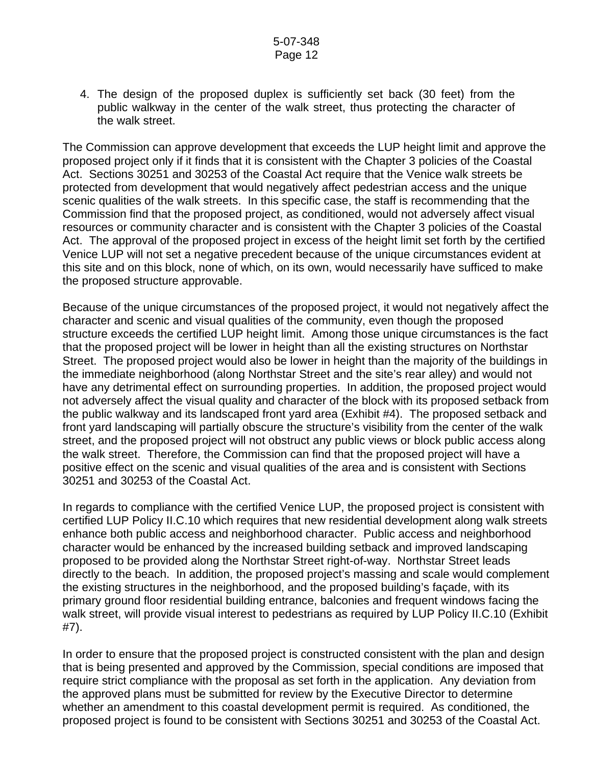4. The design of the proposed duplex is sufficiently set back (30 feet) from the public walkway in the center of the walk street, thus protecting the character of the walk street.

The Commission can approve development that exceeds the LUP height limit and approve the proposed project only if it finds that it is consistent with the Chapter 3 policies of the Coastal Act. Sections 30251 and 30253 of the Coastal Act require that the Venice walk streets be protected from development that would negatively affect pedestrian access and the unique scenic qualities of the walk streets. In this specific case, the staff is recommending that the Commission find that the proposed project, as conditioned, would not adversely affect visual resources or community character and is consistent with the Chapter 3 policies of the Coastal Act. The approval of the proposed project in excess of the height limit set forth by the certified Venice LUP will not set a negative precedent because of the unique circumstances evident at this site and on this block, none of which, on its own, would necessarily have sufficed to make the proposed structure approvable.

Because of the unique circumstances of the proposed project, it would not negatively affect the character and scenic and visual qualities of the community, even though the proposed structure exceeds the certified LUP height limit. Among those unique circumstances is the fact that the proposed project will be lower in height than all the existing structures on Northstar Street. The proposed project would also be lower in height than the majority of the buildings in the immediate neighborhood (along Northstar Street and the site's rear alley) and would not have any detrimental effect on surrounding properties. In addition, the proposed project would not adversely affect the visual quality and character of the block with its proposed setback from the public walkway and its landscaped front yard area (Exhibit #4). The proposed setback and front yard landscaping will partially obscure the structure's visibility from the center of the walk street, and the proposed project will not obstruct any public views or block public access along the walk street. Therefore, the Commission can find that the proposed project will have a positive effect on the scenic and visual qualities of the area and is consistent with Sections 30251 and 30253 of the Coastal Act.

In regards to compliance with the certified Venice LUP, the proposed project is consistent with certified LUP Policy II.C.10 which requires that new residential development along walk streets enhance both public access and neighborhood character. Public access and neighborhood character would be enhanced by the increased building setback and improved landscaping proposed to be provided along the Northstar Street right-of-way. Northstar Street leads directly to the beach. In addition, the proposed project's massing and scale would complement the existing structures in the neighborhood, and the proposed building's façade, with its primary ground floor residential building entrance, balconies and frequent windows facing the walk street, will provide visual interest to pedestrians as required by LUP Policy II.C.10 (Exhibit #7).

In order to ensure that the proposed project is constructed consistent with the plan and design that is being presented and approved by the Commission, special conditions are imposed that require strict compliance with the proposal as set forth in the application. Any deviation from the approved plans must be submitted for review by the Executive Director to determine whether an amendment to this coastal development permit is required. As conditioned, the proposed project is found to be consistent with Sections 30251 and 30253 of the Coastal Act.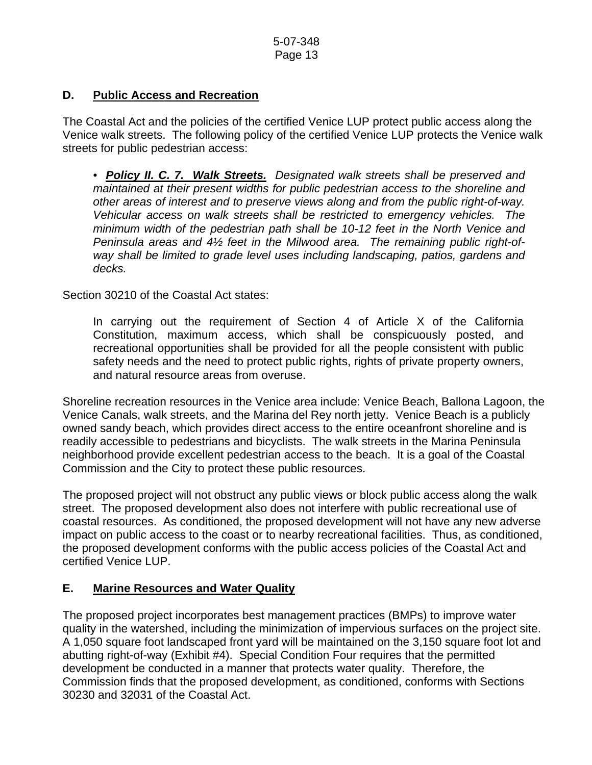### **D. Public Access and Recreation**

The Coastal Act and the policies of the certified Venice LUP protect public access along the Venice walk streets. The following policy of the certified Venice LUP protects the Venice walk streets for public pedestrian access:

*• Policy II. C. 7. Walk Streets. Designated walk streets shall be preserved and maintained at their present widths for public pedestrian access to the shoreline and other areas of interest and to preserve views along and from the public right-of-way. Vehicular access on walk streets shall be restricted to emergency vehicles. The minimum width of the pedestrian path shall be 10-12 feet in the North Venice and Peninsula areas and 4½ feet in the Milwood area. The remaining public right-ofway shall be limited to grade level uses including landscaping, patios, gardens and decks.* 

Section 30210 of the Coastal Act states:

In carrying out the requirement of Section 4 of Article X of the California Constitution, maximum access, which shall be conspicuously posted, and recreational opportunities shall be provided for all the people consistent with public safety needs and the need to protect public rights, rights of private property owners, and natural resource areas from overuse.

Shoreline recreation resources in the Venice area include: Venice Beach, Ballona Lagoon, the Venice Canals, walk streets, and the Marina del Rey north jetty. Venice Beach is a publicly owned sandy beach, which provides direct access to the entire oceanfront shoreline and is readily accessible to pedestrians and bicyclists. The walk streets in the Marina Peninsula neighborhood provide excellent pedestrian access to the beach. It is a goal of the Coastal Commission and the City to protect these public resources.

The proposed project will not obstruct any public views or block public access along the walk street. The proposed development also does not interfere with public recreational use of coastal resources. As conditioned, the proposed development will not have any new adverse impact on public access to the coast or to nearby recreational facilities. Thus, as conditioned, the proposed development conforms with the public access policies of the Coastal Act and certified Venice LUP.

# **E. Marine Resources and Water Quality**

The proposed project incorporates best management practices (BMPs) to improve water quality in the watershed, including the minimization of impervious surfaces on the project site. A 1,050 square foot landscaped front yard will be maintained on the 3,150 square foot lot and abutting right-of-way (Exhibit #4). Special Condition Four requires that the permitted development be conducted in a manner that protects water quality. Therefore, the Commission finds that the proposed development, as conditioned, conforms with Sections 30230 and 32031 of the Coastal Act.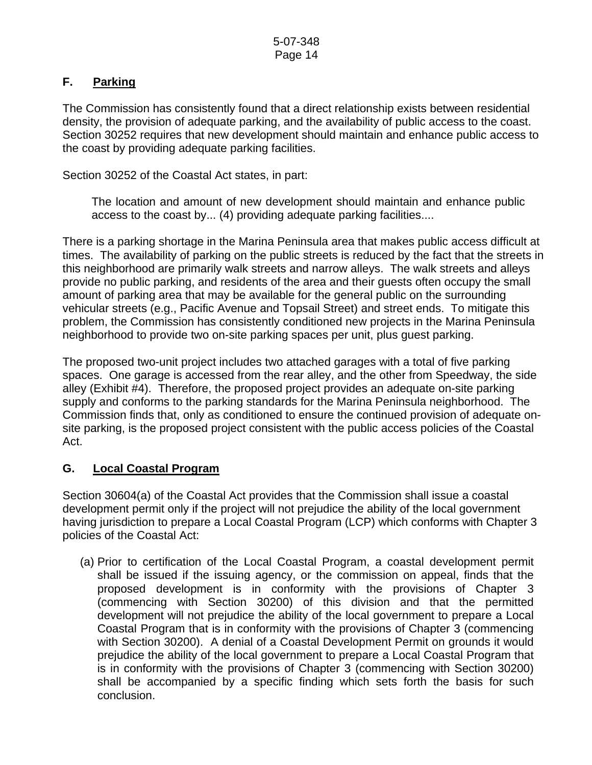# **F. Parking**

The Commission has consistently found that a direct relationship exists between residential density, the provision of adequate parking, and the availability of public access to the coast. Section 30252 requires that new development should maintain and enhance public access to the coast by providing adequate parking facilities.

Section 30252 of the Coastal Act states, in part:

 The location and amount of new development should maintain and enhance public access to the coast by... (4) providing adequate parking facilities....

There is a parking shortage in the Marina Peninsula area that makes public access difficult at times. The availability of parking on the public streets is reduced by the fact that the streets in this neighborhood are primarily walk streets and narrow alleys. The walk streets and alleys provide no public parking, and residents of the area and their guests often occupy the small amount of parking area that may be available for the general public on the surrounding vehicular streets (e.g., Pacific Avenue and Topsail Street) and street ends. To mitigate this problem, the Commission has consistently conditioned new projects in the Marina Peninsula neighborhood to provide two on-site parking spaces per unit, plus guest parking.

The proposed two-unit project includes two attached garages with a total of five parking spaces. One garage is accessed from the rear alley, and the other from Speedway, the side alley (Exhibit #4). Therefore, the proposed project provides an adequate on-site parking supply and conforms to the parking standards for the Marina Peninsula neighborhood. The Commission finds that, only as conditioned to ensure the continued provision of adequate onsite parking, is the proposed project consistent with the public access policies of the Coastal Act.

# **G. Local Coastal Program**

Section 30604(a) of the Coastal Act provides that the Commission shall issue a coastal development permit only if the project will not prejudice the ability of the local government having jurisdiction to prepare a Local Coastal Program (LCP) which conforms with Chapter 3 policies of the Coastal Act:

 (a) Prior to certification of the Local Coastal Program, a coastal development permit shall be issued if the issuing agency, or the commission on appeal, finds that the proposed development is in conformity with the provisions of Chapter 3 (commencing with Section 30200) of this division and that the permitted development will not prejudice the ability of the local government to prepare a Local Coastal Program that is in conformity with the provisions of Chapter 3 (commencing with Section 30200). A denial of a Coastal Development Permit on grounds it would prejudice the ability of the local government to prepare a Local Coastal Program that is in conformity with the provisions of Chapter 3 (commencing with Section 30200) shall be accompanied by a specific finding which sets forth the basis for such conclusion.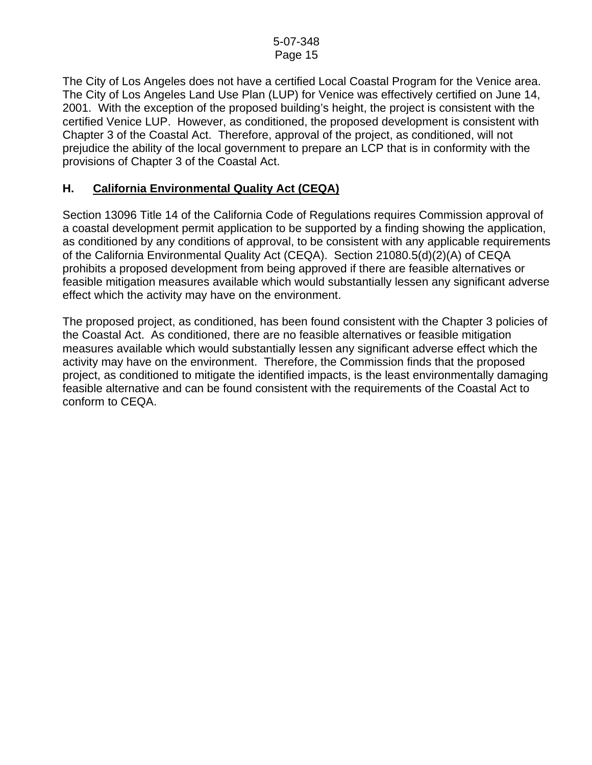The City of Los Angeles does not have a certified Local Coastal Program for the Venice area. The City of Los Angeles Land Use Plan (LUP) for Venice was effectively certified on June 14, 2001. With the exception of the proposed building's height, the project is consistent with the certified Venice LUP. However, as conditioned, the proposed development is consistent with Chapter 3 of the Coastal Act. Therefore, approval of the project, as conditioned, will not prejudice the ability of the local government to prepare an LCP that is in conformity with the provisions of Chapter 3 of the Coastal Act.

### **H. California Environmental Quality Act (CEQA)**

Section 13096 Title 14 of the California Code of Regulations requires Commission approval of a coastal development permit application to be supported by a finding showing the application, as conditioned by any conditions of approval, to be consistent with any applicable requirements of the California Environmental Quality Act (CEQA). Section 21080.5(d)(2)(A) of CEQA prohibits a proposed development from being approved if there are feasible alternatives or feasible mitigation measures available which would substantially lessen any significant adverse effect which the activity may have on the environment.

The proposed project, as conditioned, has been found consistent with the Chapter 3 policies of the Coastal Act. As conditioned, there are no feasible alternatives or feasible mitigation measures available which would substantially lessen any significant adverse effect which the activity may have on the environment. Therefore, the Commission finds that the proposed project, as conditioned to mitigate the identified impacts, is the least environmentally damaging feasible alternative and can be found consistent with the requirements of the Coastal Act to conform to CEQA.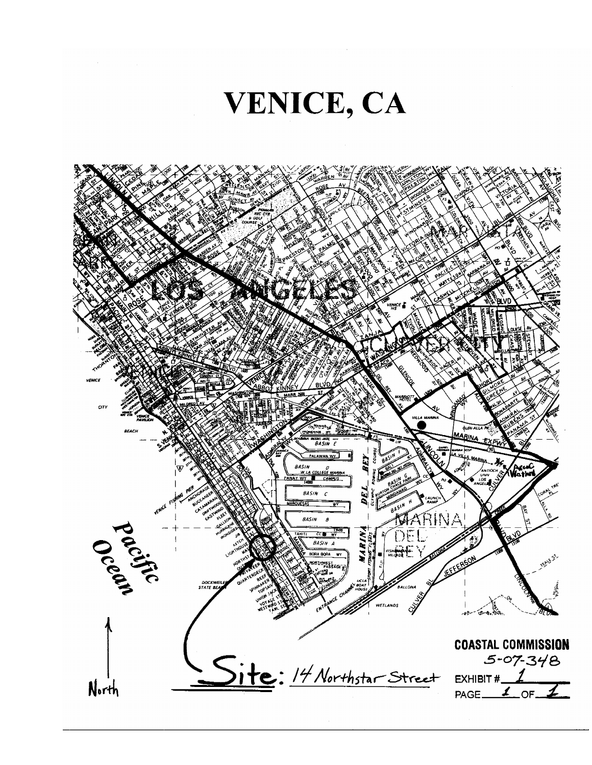

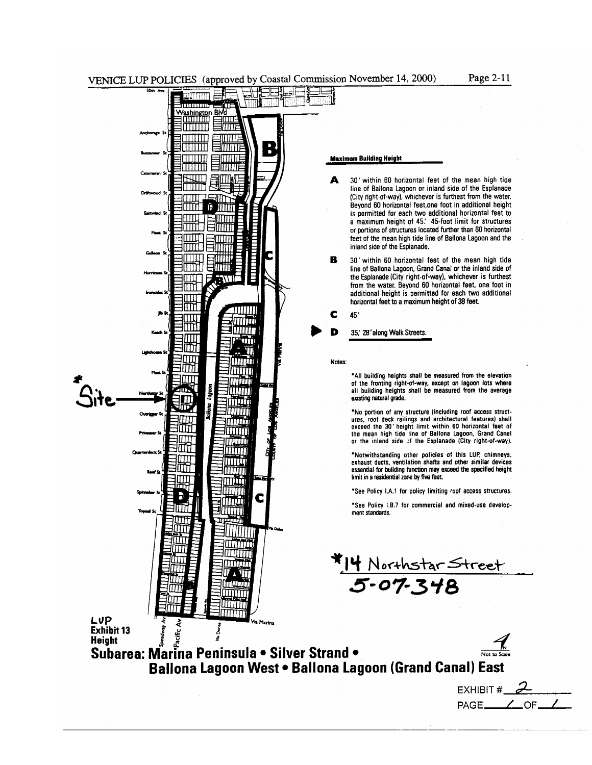

Page 2-11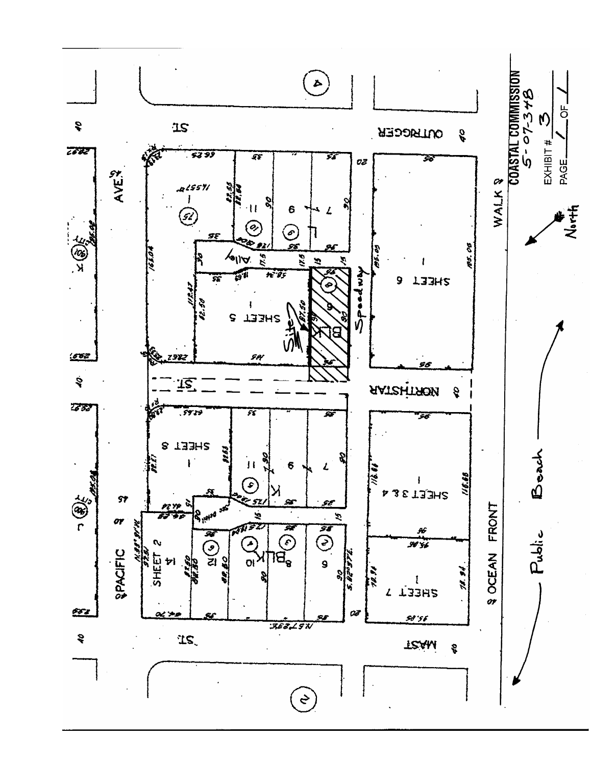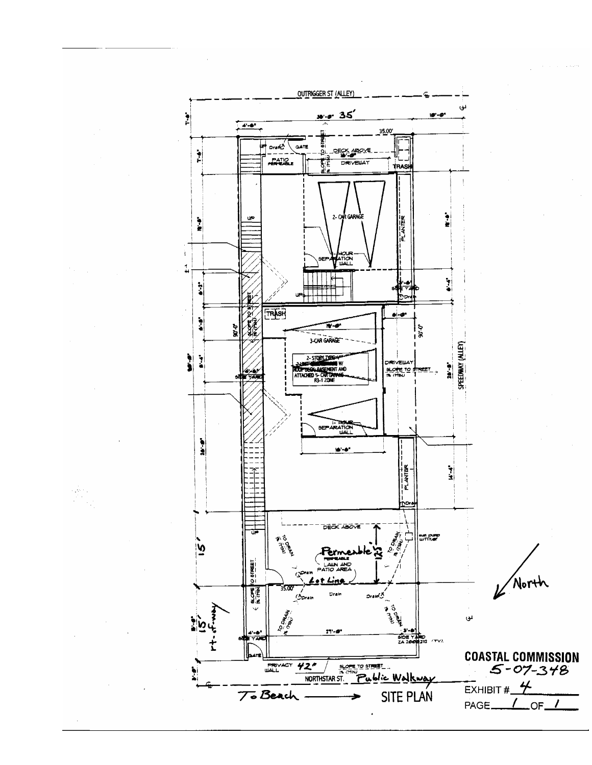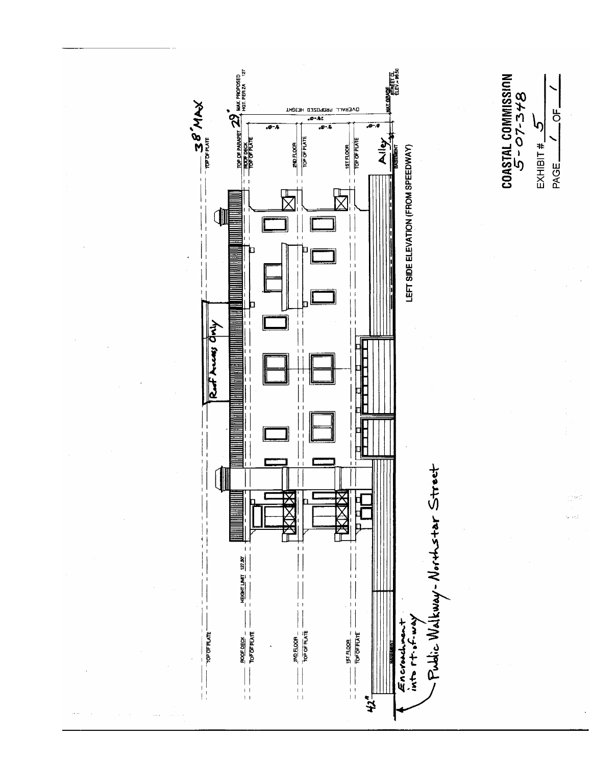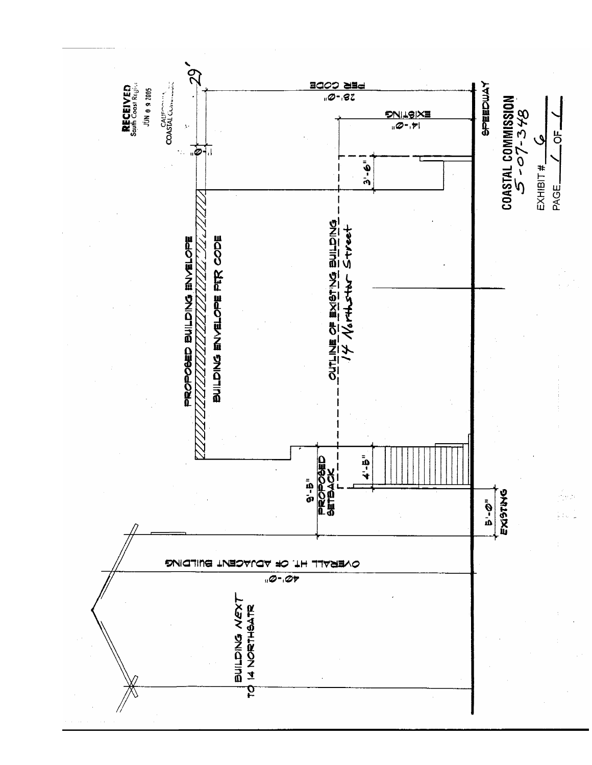